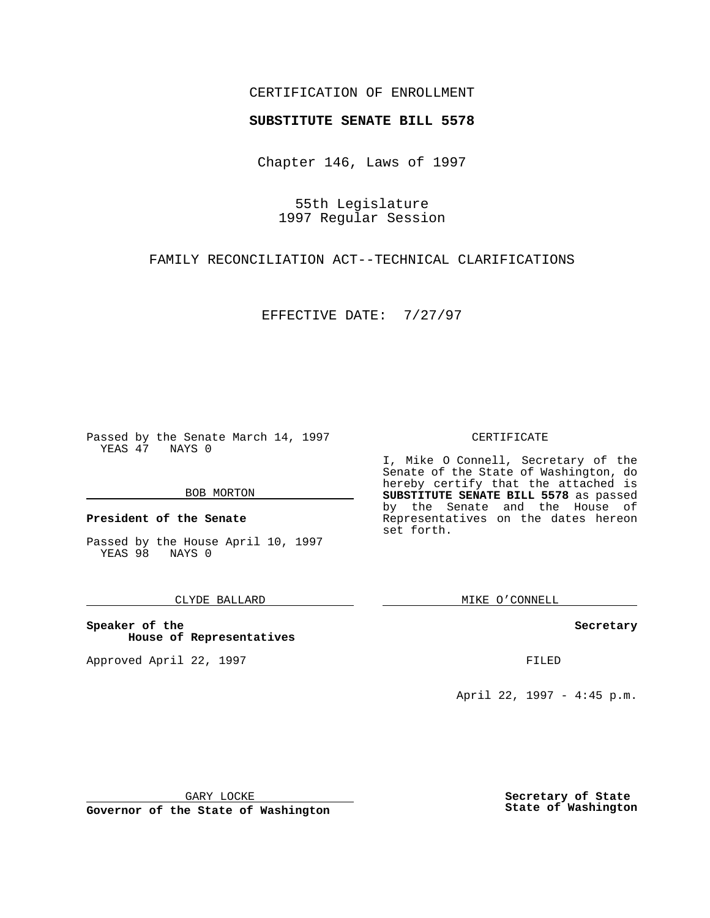### CERTIFICATION OF ENROLLMENT

# **SUBSTITUTE SENATE BILL 5578**

Chapter 146, Laws of 1997

55th Legislature 1997 Regular Session

FAMILY RECONCILIATION ACT--TECHNICAL CLARIFICATIONS

EFFECTIVE DATE: 7/27/97

Passed by the Senate March 14, 1997 YEAS 47 NAYS 0

#### BOB MORTON

**President of the Senate**

Passed by the House April 10, 1997 YEAS 98 NAYS 0

### CLYDE BALLARD

**Speaker of the House of Representatives**

Approved April 22, 1997 **FILED** 

#### CERTIFICATE

I, Mike O Connell, Secretary of the Senate of the State of Washington, do hereby certify that the attached is **SUBSTITUTE SENATE BILL 5578** as passed by the Senate and the House of Representatives on the dates hereon set forth.

MIKE O'CONNELL

#### **Secretary**

April 22, 1997 - 4:45 p.m.

GARY LOCKE

**Governor of the State of Washington**

**Secretary of State State of Washington**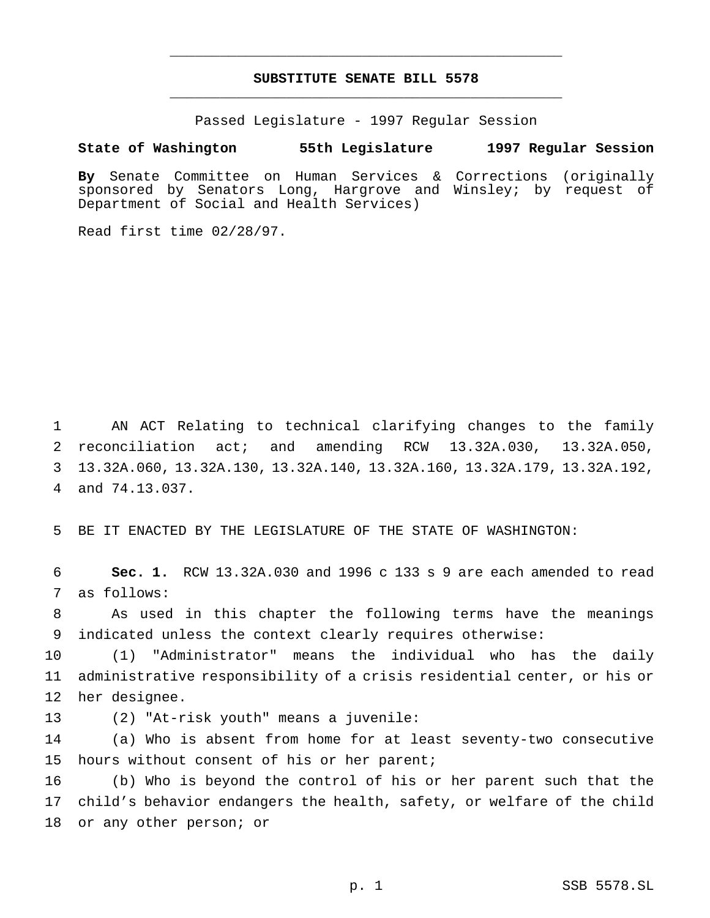## **SUBSTITUTE SENATE BILL 5578** \_\_\_\_\_\_\_\_\_\_\_\_\_\_\_\_\_\_\_\_\_\_\_\_\_\_\_\_\_\_\_\_\_\_\_\_\_\_\_\_\_\_\_\_\_\_\_

\_\_\_\_\_\_\_\_\_\_\_\_\_\_\_\_\_\_\_\_\_\_\_\_\_\_\_\_\_\_\_\_\_\_\_\_\_\_\_\_\_\_\_\_\_\_\_

Passed Legislature - 1997 Regular Session

#### **State of Washington 55th Legislature 1997 Regular Session**

**By** Senate Committee on Human Services & Corrections (originally sponsored by Senators Long, Hargrove and Winsley; by request of Department of Social and Health Services)

Read first time 02/28/97.

 AN ACT Relating to technical clarifying changes to the family reconciliation act; and amending RCW 13.32A.030, 13.32A.050, 13.32A.060, 13.32A.130, 13.32A.140, 13.32A.160, 13.32A.179, 13.32A.192, and 74.13.037.

5 BE IT ENACTED BY THE LEGISLATURE OF THE STATE OF WASHINGTON:

6 **Sec. 1.** RCW 13.32A.030 and 1996 c 133 s 9 are each amended to read 7 as follows:

8 As used in this chapter the following terms have the meanings 9 indicated unless the context clearly requires otherwise:

10 (1) "Administrator" means the individual who has the daily 11 administrative responsibility of a crisis residential center, or his or 12 her designee.

13 (2) "At-risk youth" means a juvenile:

14 (a) Who is absent from home for at least seventy-two consecutive 15 hours without consent of his or her parent;

16 (b) Who is beyond the control of his or her parent such that the 17 child's behavior endangers the health, safety, or welfare of the child 18 or any other person; or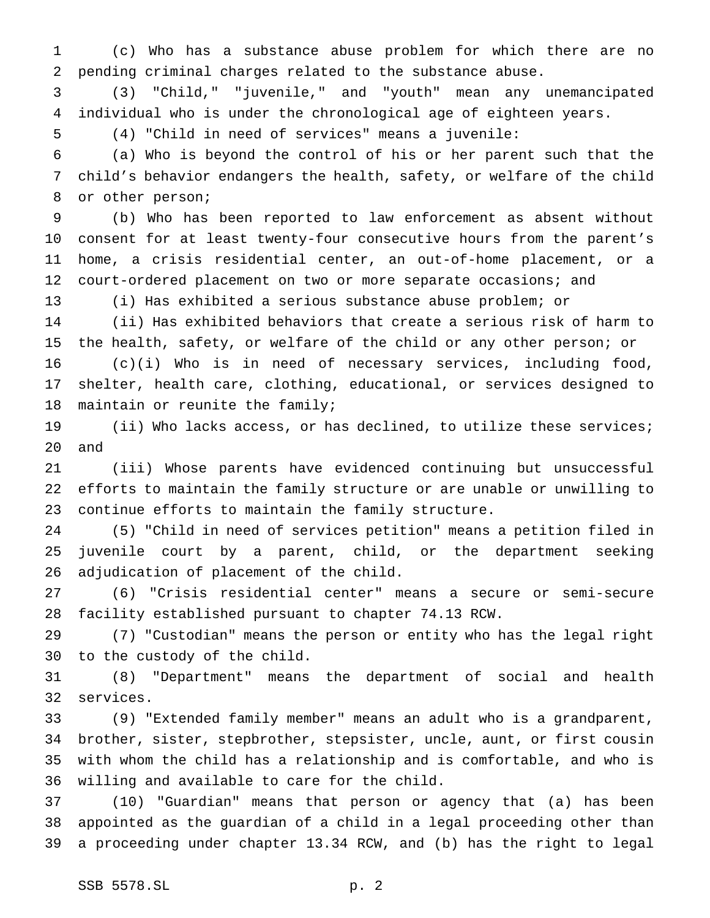(c) Who has a substance abuse problem for which there are no pending criminal charges related to the substance abuse.

 (3) "Child," "juvenile," and "youth" mean any unemancipated individual who is under the chronological age of eighteen years.

(4) "Child in need of services" means a juvenile:

 (a) Who is beyond the control of his or her parent such that the child's behavior endangers the health, safety, or welfare of the child or other person;

 (b) Who has been reported to law enforcement as absent without consent for at least twenty-four consecutive hours from the parent's home, a crisis residential center, an out-of-home placement, or a 12 court-ordered placement on two or more separate occasions; and

(i) Has exhibited a serious substance abuse problem; or

 (ii) Has exhibited behaviors that create a serious risk of harm to the health, safety, or welfare of the child or any other person; or (c)(i) Who is in need of necessary services, including food, shelter, health care, clothing, educational, or services designed to maintain or reunite the family;

 (ii) Who lacks access, or has declined, to utilize these services; and

 (iii) Whose parents have evidenced continuing but unsuccessful efforts to maintain the family structure or are unable or unwilling to continue efforts to maintain the family structure.

 (5) "Child in need of services petition" means a petition filed in juvenile court by a parent, child, or the department seeking adjudication of placement of the child.

 (6) "Crisis residential center" means a secure or semi-secure facility established pursuant to chapter 74.13 RCW.

 (7) "Custodian" means the person or entity who has the legal right to the custody of the child.

 (8) "Department" means the department of social and health services.

 (9) "Extended family member" means an adult who is a grandparent, brother, sister, stepbrother, stepsister, uncle, aunt, or first cousin with whom the child has a relationship and is comfortable, and who is willing and available to care for the child.

 (10) "Guardian" means that person or agency that (a) has been appointed as the guardian of a child in a legal proceeding other than a proceeding under chapter 13.34 RCW, and (b) has the right to legal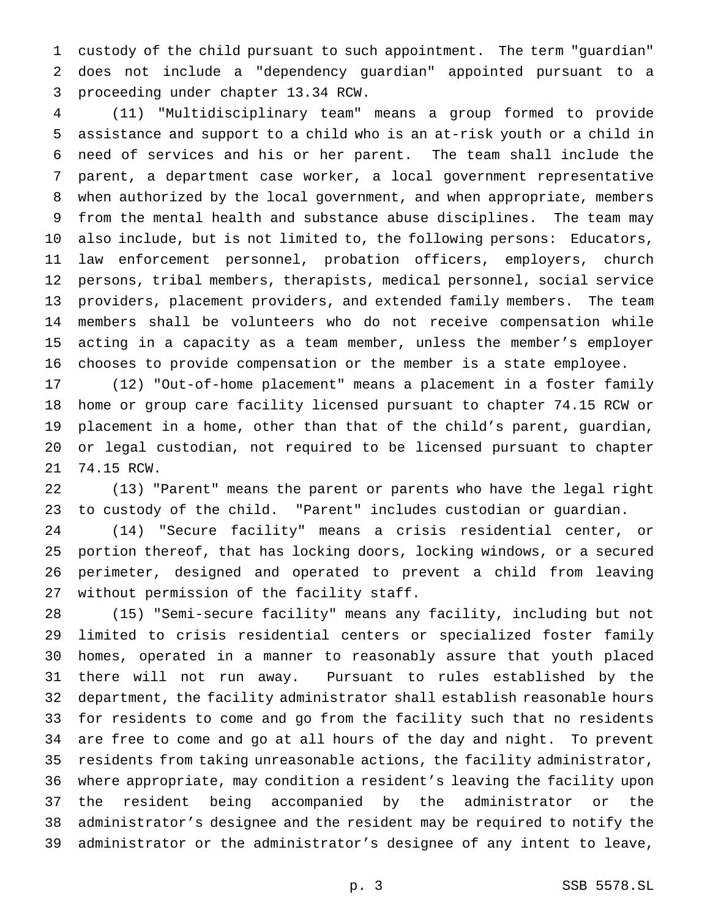custody of the child pursuant to such appointment. The term "guardian" does not include a "dependency guardian" appointed pursuant to a proceeding under chapter 13.34 RCW.

 (11) "Multidisciplinary team" means a group formed to provide assistance and support to a child who is an at-risk youth or a child in need of services and his or her parent. The team shall include the parent, a department case worker, a local government representative when authorized by the local government, and when appropriate, members from the mental health and substance abuse disciplines. The team may also include, but is not limited to, the following persons: Educators, law enforcement personnel, probation officers, employers, church persons, tribal members, therapists, medical personnel, social service providers, placement providers, and extended family members. The team members shall be volunteers who do not receive compensation while acting in a capacity as a team member, unless the member's employer chooses to provide compensation or the member is a state employee.

 (12) "Out-of-home placement" means a placement in a foster family home or group care facility licensed pursuant to chapter 74.15 RCW or placement in a home, other than that of the child's parent, guardian, or legal custodian, not required to be licensed pursuant to chapter 74.15 RCW.

 (13) "Parent" means the parent or parents who have the legal right to custody of the child. "Parent" includes custodian or guardian.

 (14) "Secure facility" means a crisis residential center, or portion thereof, that has locking doors, locking windows, or a secured perimeter, designed and operated to prevent a child from leaving without permission of the facility staff.

 (15) "Semi-secure facility" means any facility, including but not limited to crisis residential centers or specialized foster family homes, operated in a manner to reasonably assure that youth placed there will not run away. Pursuant to rules established by the department, the facility administrator shall establish reasonable hours for residents to come and go from the facility such that no residents are free to come and go at all hours of the day and night. To prevent residents from taking unreasonable actions, the facility administrator, where appropriate, may condition a resident's leaving the facility upon the resident being accompanied by the administrator or the administrator's designee and the resident may be required to notify the administrator or the administrator's designee of any intent to leave,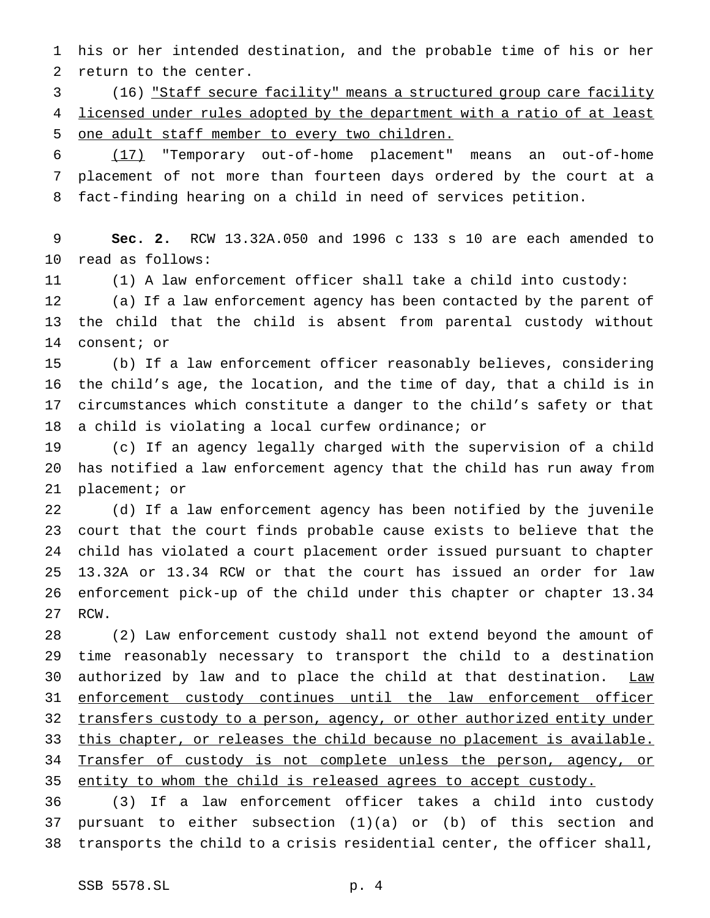his or her intended destination, and the probable time of his or her return to the center.

 (16) "Staff secure facility" means a structured group care facility 4 licensed under rules adopted by the department with a ratio of at least one adult staff member to every two children.

 (17) "Temporary out-of-home placement" means an out-of-home placement of not more than fourteen days ordered by the court at a fact-finding hearing on a child in need of services petition.

 **Sec. 2.** RCW 13.32A.050 and 1996 c 133 s 10 are each amended to read as follows:

(1) A law enforcement officer shall take a child into custody:

 (a) If a law enforcement agency has been contacted by the parent of the child that the child is absent from parental custody without consent; or

 (b) If a law enforcement officer reasonably believes, considering the child's age, the location, and the time of day, that a child is in circumstances which constitute a danger to the child's safety or that a child is violating a local curfew ordinance; or

 (c) If an agency legally charged with the supervision of a child has notified a law enforcement agency that the child has run away from placement; or

 (d) If a law enforcement agency has been notified by the juvenile court that the court finds probable cause exists to believe that the child has violated a court placement order issued pursuant to chapter 13.32A or 13.34 RCW or that the court has issued an order for law enforcement pick-up of the child under this chapter or chapter 13.34 RCW.

 (2) Law enforcement custody shall not extend beyond the amount of time reasonably necessary to transport the child to a destination 30 authorized by law and to place the child at that destination. Law enforcement custody continues until the law enforcement officer 32 transfers custody to a person, agency, or other authorized entity under 33 this chapter, or releases the child because no placement is available. 34 Transfer of custody is not complete unless the person, agency, or 35 entity to whom the child is released agrees to accept custody.

 (3) If a law enforcement officer takes a child into custody pursuant to either subsection (1)(a) or (b) of this section and transports the child to a crisis residential center, the officer shall,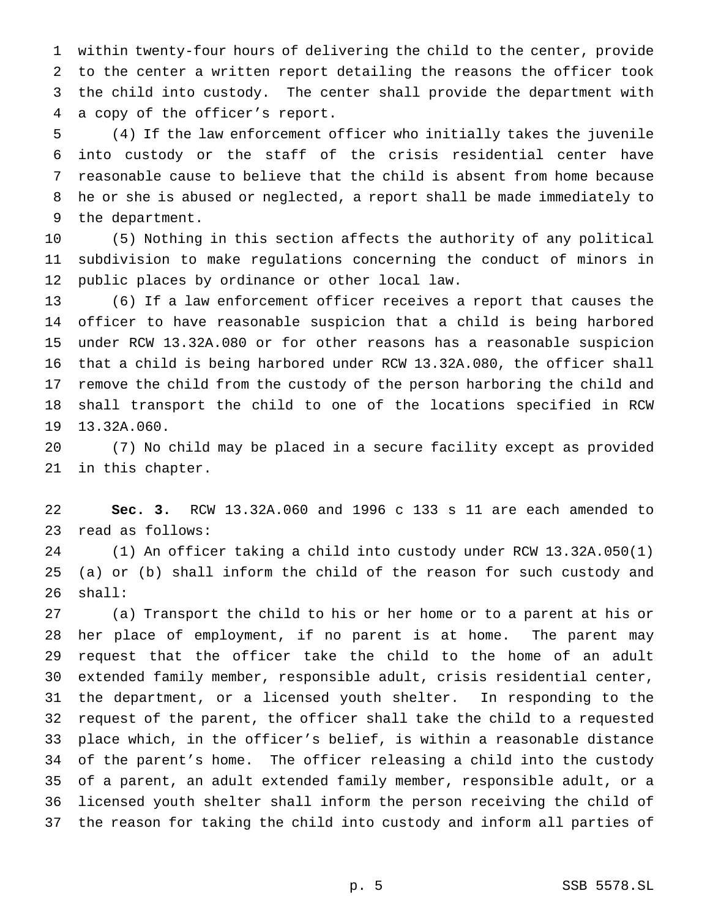within twenty-four hours of delivering the child to the center, provide to the center a written report detailing the reasons the officer took the child into custody. The center shall provide the department with a copy of the officer's report.

 (4) If the law enforcement officer who initially takes the juvenile into custody or the staff of the crisis residential center have reasonable cause to believe that the child is absent from home because he or she is abused or neglected, a report shall be made immediately to the department.

 (5) Nothing in this section affects the authority of any political subdivision to make regulations concerning the conduct of minors in public places by ordinance or other local law.

 (6) If a law enforcement officer receives a report that causes the officer to have reasonable suspicion that a child is being harbored under RCW 13.32A.080 or for other reasons has a reasonable suspicion that a child is being harbored under RCW 13.32A.080, the officer shall remove the child from the custody of the person harboring the child and shall transport the child to one of the locations specified in RCW 13.32A.060.

 (7) No child may be placed in a secure facility except as provided in this chapter.

 **Sec. 3.** RCW 13.32A.060 and 1996 c 133 s 11 are each amended to read as follows:

 (1) An officer taking a child into custody under RCW 13.32A.050(1) (a) or (b) shall inform the child of the reason for such custody and shall:

 (a) Transport the child to his or her home or to a parent at his or her place of employment, if no parent is at home. The parent may request that the officer take the child to the home of an adult extended family member, responsible adult, crisis residential center, the department, or a licensed youth shelter. In responding to the request of the parent, the officer shall take the child to a requested place which, in the officer's belief, is within a reasonable distance of the parent's home. The officer releasing a child into the custody of a parent, an adult extended family member, responsible adult, or a licensed youth shelter shall inform the person receiving the child of the reason for taking the child into custody and inform all parties of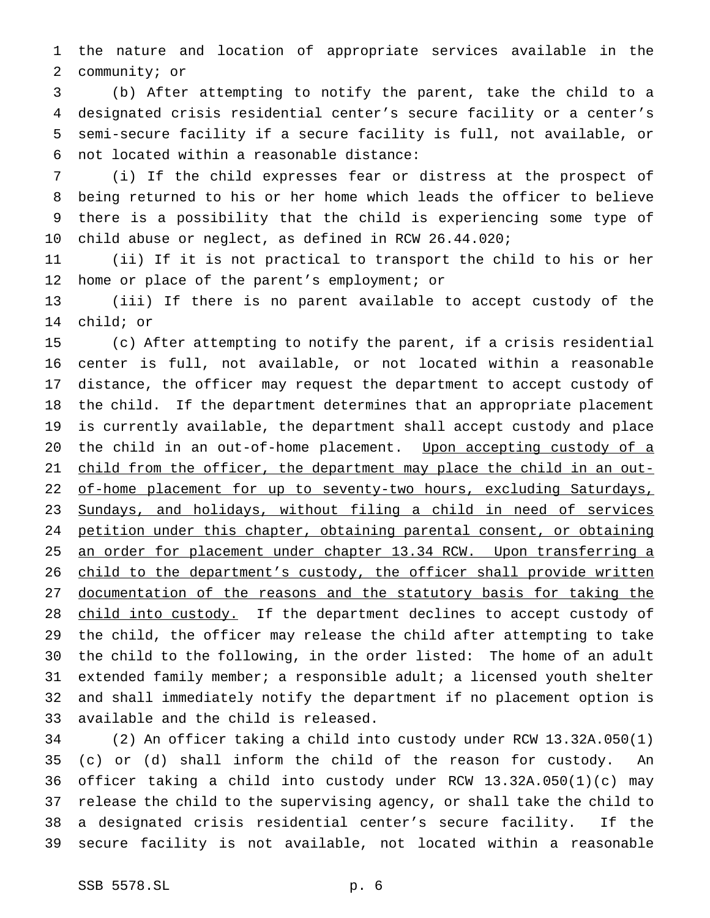the nature and location of appropriate services available in the community; or

 (b) After attempting to notify the parent, take the child to a designated crisis residential center's secure facility or a center's semi-secure facility if a secure facility is full, not available, or not located within a reasonable distance:

 (i) If the child expresses fear or distress at the prospect of being returned to his or her home which leads the officer to believe there is a possibility that the child is experiencing some type of child abuse or neglect, as defined in RCW 26.44.020;

 (ii) If it is not practical to transport the child to his or her home or place of the parent's employment; or

 (iii) If there is no parent available to accept custody of the child; or

 (c) After attempting to notify the parent, if a crisis residential center is full, not available, or not located within a reasonable distance, the officer may request the department to accept custody of the child. If the department determines that an appropriate placement is currently available, the department shall accept custody and place 20 the child in an out-of-home placement. Upon accepting custody of a 21 child from the officer, the department may place the child in an out-22 of-home placement for up to seventy-two hours, excluding Saturdays, 23 Sundays, and holidays, without filing a child in need of services petition under this chapter, obtaining parental consent, or obtaining 25 an order for placement under chapter 13.34 RCW. Upon transferring a 26 child to the department's custody, the officer shall provide written documentation of the reasons and the statutory basis for taking the 28 child into custody. If the department declines to accept custody of the child, the officer may release the child after attempting to take the child to the following, in the order listed: The home of an adult 31 extended family member; a responsible adult; a licensed youth shelter and shall immediately notify the department if no placement option is available and the child is released.

 (2) An officer taking a child into custody under RCW 13.32A.050(1) (c) or (d) shall inform the child of the reason for custody. An officer taking a child into custody under RCW 13.32A.050(1)(c) may release the child to the supervising agency, or shall take the child to a designated crisis residential center's secure facility. If the secure facility is not available, not located within a reasonable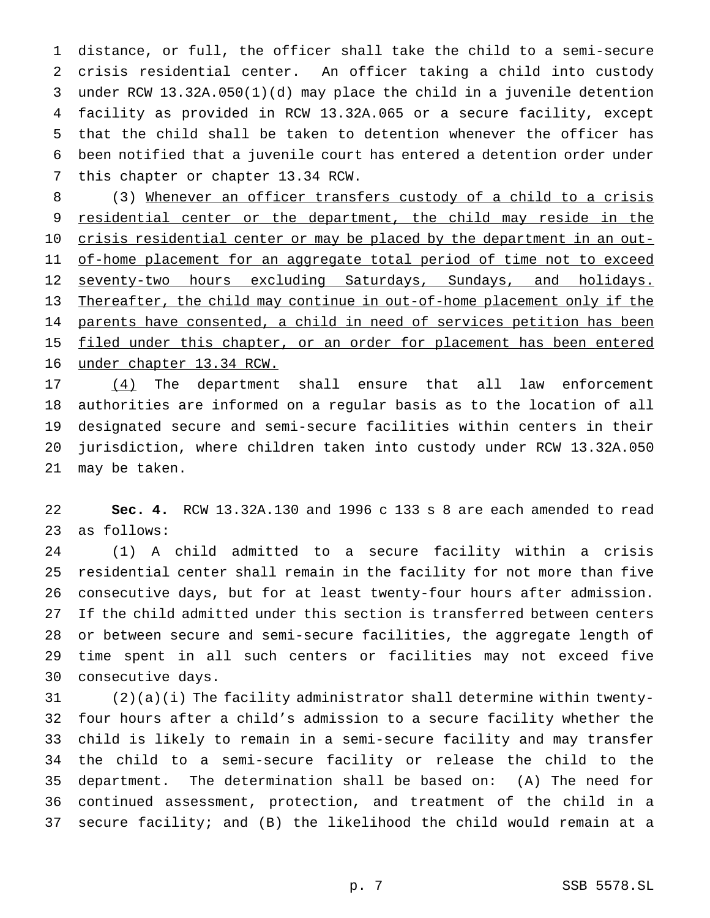distance, or full, the officer shall take the child to a semi-secure crisis residential center. An officer taking a child into custody under RCW 13.32A.050(1)(d) may place the child in a juvenile detention facility as provided in RCW 13.32A.065 or a secure facility, except that the child shall be taken to detention whenever the officer has been notified that a juvenile court has entered a detention order under this chapter or chapter 13.34 RCW.

 (3) Whenever an officer transfers custody of a child to a crisis 9 residential center or the department, the child may reside in the 10 crisis residential center or may be placed by the department in an out-11 of-home placement for an aggregate total period of time not to exceed 12 seventy-two hours excluding Saturdays, Sundays, and holidays. Thereafter, the child may continue in out-of-home placement only if the 14 parents have consented, a child in need of services petition has been 15 filed under this chapter, or an order for placement has been entered under chapter 13.34 RCW.

 (4) The department shall ensure that all law enforcement authorities are informed on a regular basis as to the location of all designated secure and semi-secure facilities within centers in their jurisdiction, where children taken into custody under RCW 13.32A.050 may be taken.

 **Sec. 4.** RCW 13.32A.130 and 1996 c 133 s 8 are each amended to read as follows:

 (1) A child admitted to a secure facility within a crisis residential center shall remain in the facility for not more than five consecutive days, but for at least twenty-four hours after admission. If the child admitted under this section is transferred between centers or between secure and semi-secure facilities, the aggregate length of time spent in all such centers or facilities may not exceed five consecutive days.

 (2)(a)(i) The facility administrator shall determine within twenty- four hours after a child's admission to a secure facility whether the child is likely to remain in a semi-secure facility and may transfer the child to a semi-secure facility or release the child to the department. The determination shall be based on: (A) The need for continued assessment, protection, and treatment of the child in a secure facility; and (B) the likelihood the child would remain at a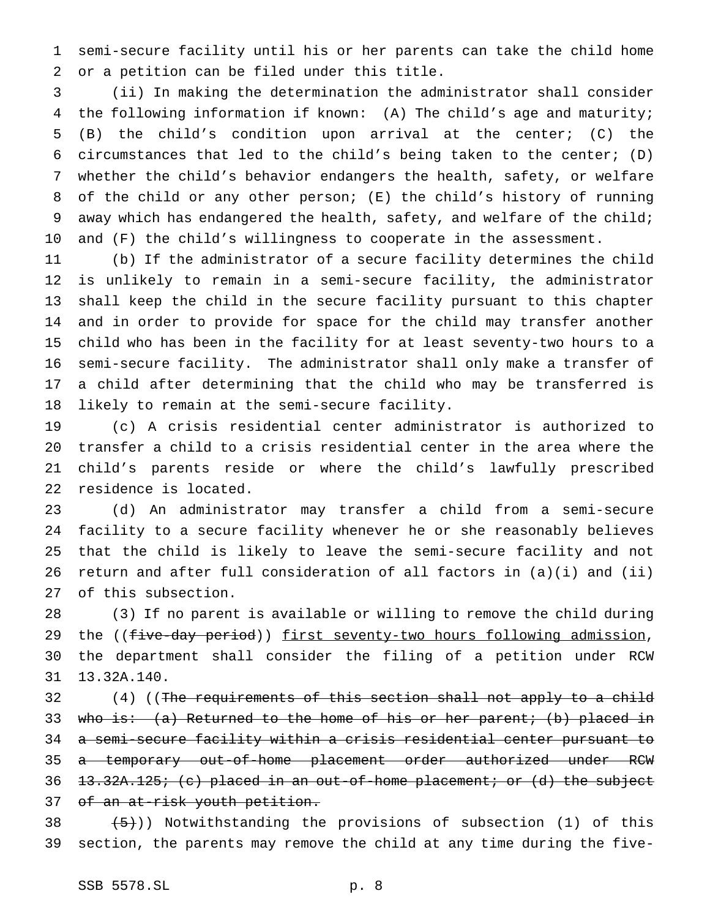semi-secure facility until his or her parents can take the child home or a petition can be filed under this title.

 (ii) In making the determination the administrator shall consider the following information if known: (A) The child's age and maturity; (B) the child's condition upon arrival at the center; (C) the 6 circumstances that led to the child's being taken to the center;  $(D)$  whether the child's behavior endangers the health, safety, or welfare of the child or any other person; (E) the child's history of running 9 away which has endangered the health, safety, and welfare of the child; and (F) the child's willingness to cooperate in the assessment.

 (b) If the administrator of a secure facility determines the child is unlikely to remain in a semi-secure facility, the administrator shall keep the child in the secure facility pursuant to this chapter and in order to provide for space for the child may transfer another child who has been in the facility for at least seventy-two hours to a semi-secure facility. The administrator shall only make a transfer of a child after determining that the child who may be transferred is likely to remain at the semi-secure facility.

 (c) A crisis residential center administrator is authorized to transfer a child to a crisis residential center in the area where the child's parents reside or where the child's lawfully prescribed residence is located.

 (d) An administrator may transfer a child from a semi-secure facility to a secure facility whenever he or she reasonably believes that the child is likely to leave the semi-secure facility and not return and after full consideration of all factors in (a)(i) and (ii) of this subsection.

 (3) If no parent is available or willing to remove the child during 29 the ((five-day period)) first seventy-two hours following admission, the department shall consider the filing of a petition under RCW 13.32A.140.

32 (4) ((The requirements of this section shall not apply to a child 33 who is: (a) Returned to the home of his or her parent; (b) placed in a semi-secure facility within a crisis residential center pursuant to 35 a temporary out-of-home placement order authorized under RCW 36 <del>13.32A.125; (c) placed in an out-of-home placement; or (d) the subject</del> of an at-risk youth petition.

38  $(5)$ )) Notwithstanding the provisions of subsection (1) of this section, the parents may remove the child at any time during the five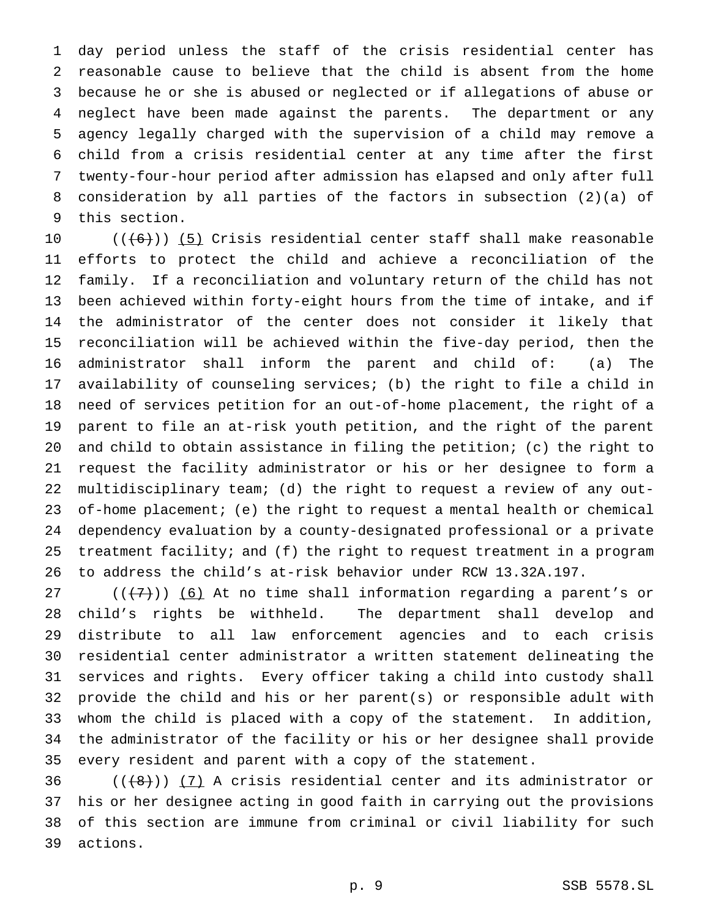day period unless the staff of the crisis residential center has reasonable cause to believe that the child is absent from the home because he or she is abused or neglected or if allegations of abuse or neglect have been made against the parents. The department or any agency legally charged with the supervision of a child may remove a child from a crisis residential center at any time after the first twenty-four-hour period after admission has elapsed and only after full consideration by all parties of the factors in subsection (2)(a) of this section.

 $((6))$   $(5)$  Crisis residential center staff shall make reasonable efforts to protect the child and achieve a reconciliation of the family. If a reconciliation and voluntary return of the child has not been achieved within forty-eight hours from the time of intake, and if the administrator of the center does not consider it likely that reconciliation will be achieved within the five-day period, then the administrator shall inform the parent and child of: (a) The availability of counseling services; (b) the right to file a child in need of services petition for an out-of-home placement, the right of a parent to file an at-risk youth petition, and the right of the parent and child to obtain assistance in filing the petition; (c) the right to request the facility administrator or his or her designee to form a multidisciplinary team; (d) the right to request a review of any out- of-home placement; (e) the right to request a mental health or chemical dependency evaluation by a county-designated professional or a private treatment facility; and (f) the right to request treatment in a program to address the child's at-risk behavior under RCW 13.32A.197.

27 ( $(\overline{(7)})$ ) (6) At no time shall information regarding a parent's or child's rights be withheld. The department shall develop and distribute to all law enforcement agencies and to each crisis residential center administrator a written statement delineating the services and rights. Every officer taking a child into custody shall provide the child and his or her parent(s) or responsible adult with whom the child is placed with a copy of the statement. In addition, the administrator of the facility or his or her designee shall provide every resident and parent with a copy of the statement.

 $((+8))$   $(7)$  A crisis residential center and its administrator or his or her designee acting in good faith in carrying out the provisions of this section are immune from criminal or civil liability for such actions.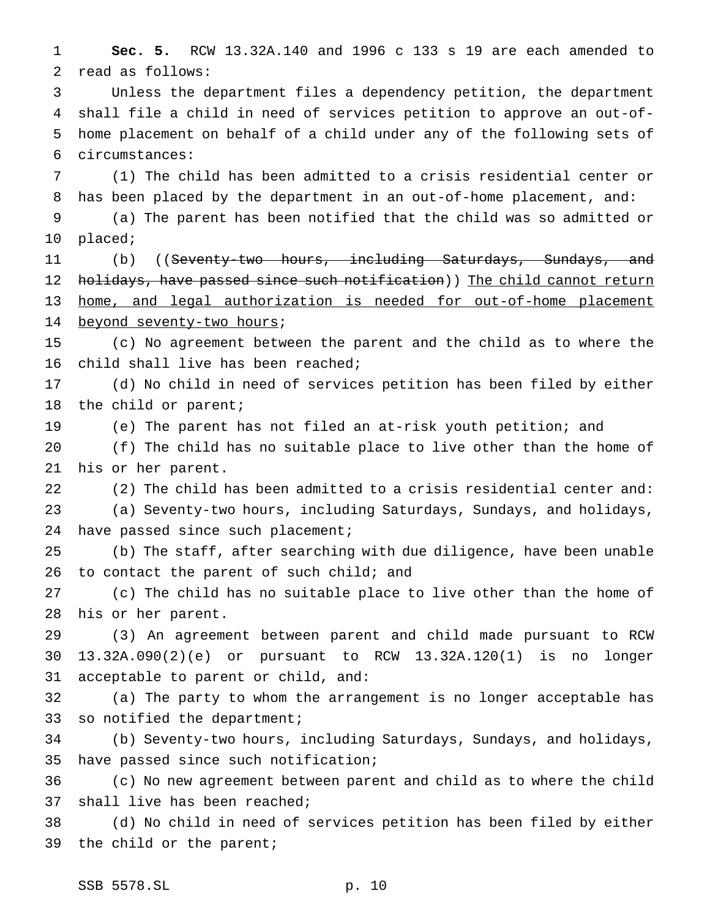**Sec. 5.** RCW 13.32A.140 and 1996 c 133 s 19 are each amended to read as follows:

 Unless the department files a dependency petition, the department shall file a child in need of services petition to approve an out-of- home placement on behalf of a child under any of the following sets of circumstances:

 (1) The child has been admitted to a crisis residential center or has been placed by the department in an out-of-home placement, and:

 (a) The parent has been notified that the child was so admitted or placed;

11 (b) ((Seventy-two hours, including Saturdays, Sundays, and 12 h<del>olidays, have passed since such notification</del>)) The child cannot return 13 home, and legal authorization is needed for out-of-home placement 14 beyond seventy-two hours;

 (c) No agreement between the parent and the child as to where the child shall live has been reached;

 (d) No child in need of services petition has been filed by either the child or parent;

(e) The parent has not filed an at-risk youth petition; and

 (f) The child has no suitable place to live other than the home of his or her parent.

 (2) The child has been admitted to a crisis residential center and: (a) Seventy-two hours, including Saturdays, Sundays, and holidays,

24 have passed since such placement;

 (b) The staff, after searching with due diligence, have been unable 26 to contact the parent of such child; and

 (c) The child has no suitable place to live other than the home of his or her parent.

 (3) An agreement between parent and child made pursuant to RCW 13.32A.090(2)(e) or pursuant to RCW 13.32A.120(1) is no longer acceptable to parent or child, and:

 (a) The party to whom the arrangement is no longer acceptable has so notified the department;

 (b) Seventy-two hours, including Saturdays, Sundays, and holidays, have passed since such notification;

 (c) No new agreement between parent and child as to where the child shall live has been reached;

 (d) No child in need of services petition has been filed by either the child or the parent;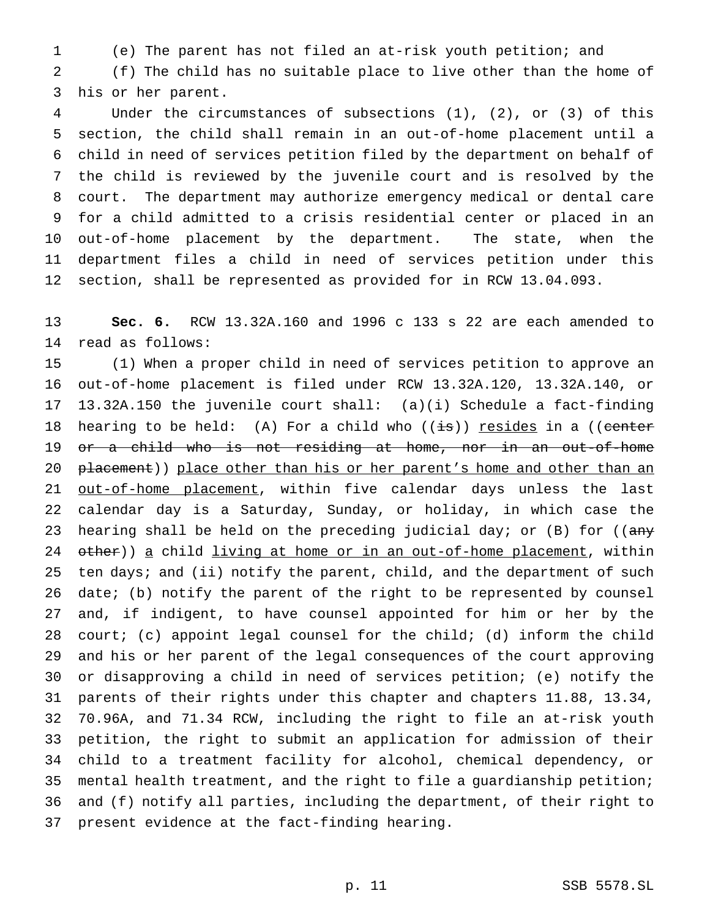(e) The parent has not filed an at-risk youth petition; and

 (f) The child has no suitable place to live other than the home of his or her parent.

 Under the circumstances of subsections (1), (2), or (3) of this section, the child shall remain in an out-of-home placement until a child in need of services petition filed by the department on behalf of the child is reviewed by the juvenile court and is resolved by the court. The department may authorize emergency medical or dental care for a child admitted to a crisis residential center or placed in an out-of-home placement by the department. The state, when the department files a child in need of services petition under this section, shall be represented as provided for in RCW 13.04.093.

 **Sec. 6.** RCW 13.32A.160 and 1996 c 133 s 22 are each amended to read as follows:

 (1) When a proper child in need of services petition to approve an out-of-home placement is filed under RCW 13.32A.120, 13.32A.140, or 13.32A.150 the juvenile court shall: (a)(i) Schedule a fact-finding 18 hearing to be held: (A) For a child who  $((\frac{1}{18}))$  resides in a ((center or a child who is not residing at home, nor in an out-of-home 20 placement)) place other than his or her parent's home and other than an 21 out-of-home placement, within five calendar days unless the last calendar day is a Saturday, Sunday, or holiday, in which case the 23 hearing shall be held on the preceding judicial day; or (B) for (( $\text{any}$ 24 other)) a child living at home or in an out-of-home placement, within 25 ten days; and (ii) notify the parent, child, and the department of such date; (b) notify the parent of the right to be represented by counsel and, if indigent, to have counsel appointed for him or her by the court; (c) appoint legal counsel for the child; (d) inform the child and his or her parent of the legal consequences of the court approving or disapproving a child in need of services petition; (e) notify the parents of their rights under this chapter and chapters 11.88, 13.34, 70.96A, and 71.34 RCW, including the right to file an at-risk youth petition, the right to submit an application for admission of their child to a treatment facility for alcohol, chemical dependency, or mental health treatment, and the right to file a guardianship petition; and (f) notify all parties, including the department, of their right to present evidence at the fact-finding hearing.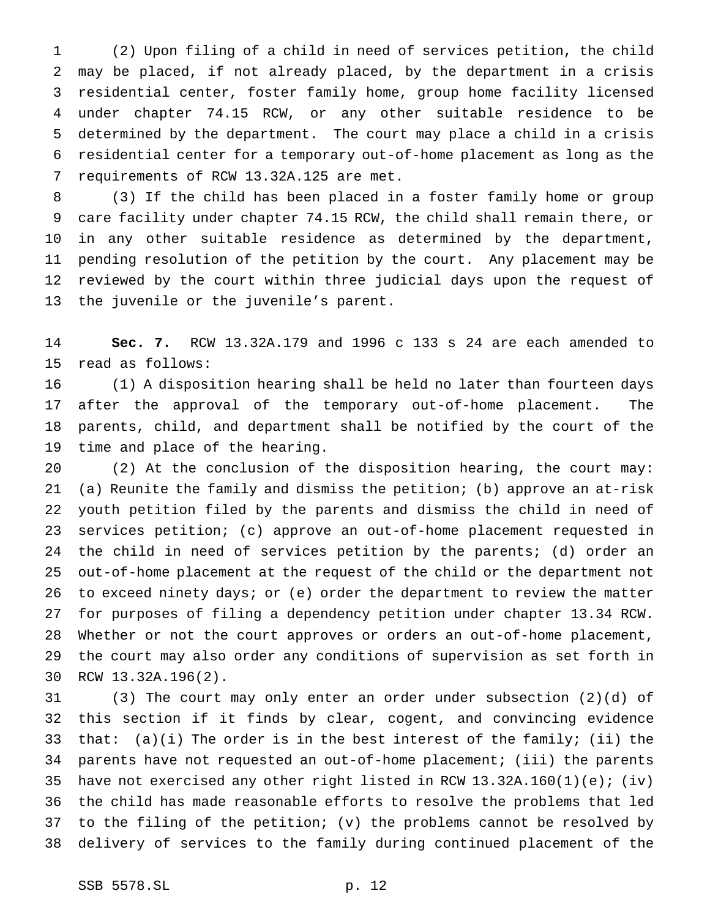(2) Upon filing of a child in need of services petition, the child may be placed, if not already placed, by the department in a crisis residential center, foster family home, group home facility licensed under chapter 74.15 RCW, or any other suitable residence to be determined by the department. The court may place a child in a crisis residential center for a temporary out-of-home placement as long as the requirements of RCW 13.32A.125 are met.

 (3) If the child has been placed in a foster family home or group care facility under chapter 74.15 RCW, the child shall remain there, or in any other suitable residence as determined by the department, pending resolution of the petition by the court. Any placement may be reviewed by the court within three judicial days upon the request of the juvenile or the juvenile's parent.

 **Sec. 7.** RCW 13.32A.179 and 1996 c 133 s 24 are each amended to read as follows:

 (1) A disposition hearing shall be held no later than fourteen days after the approval of the temporary out-of-home placement. The parents, child, and department shall be notified by the court of the time and place of the hearing.

 (2) At the conclusion of the disposition hearing, the court may: (a) Reunite the family and dismiss the petition; (b) approve an at-risk youth petition filed by the parents and dismiss the child in need of services petition; (c) approve an out-of-home placement requested in the child in need of services petition by the parents; (d) order an out-of-home placement at the request of the child or the department not to exceed ninety days; or (e) order the department to review the matter for purposes of filing a dependency petition under chapter 13.34 RCW. Whether or not the court approves or orders an out-of-home placement, the court may also order any conditions of supervision as set forth in RCW 13.32A.196(2).

 (3) The court may only enter an order under subsection (2)(d) of this section if it finds by clear, cogent, and convincing evidence 33 that:  $(a)(i)$  The order is in the best interest of the family; (ii) the parents have not requested an out-of-home placement; (iii) the parents have not exercised any other right listed in RCW 13.32A.160(1)(e); (iv) the child has made reasonable efforts to resolve the problems that led to the filing of the petition; (v) the problems cannot be resolved by delivery of services to the family during continued placement of the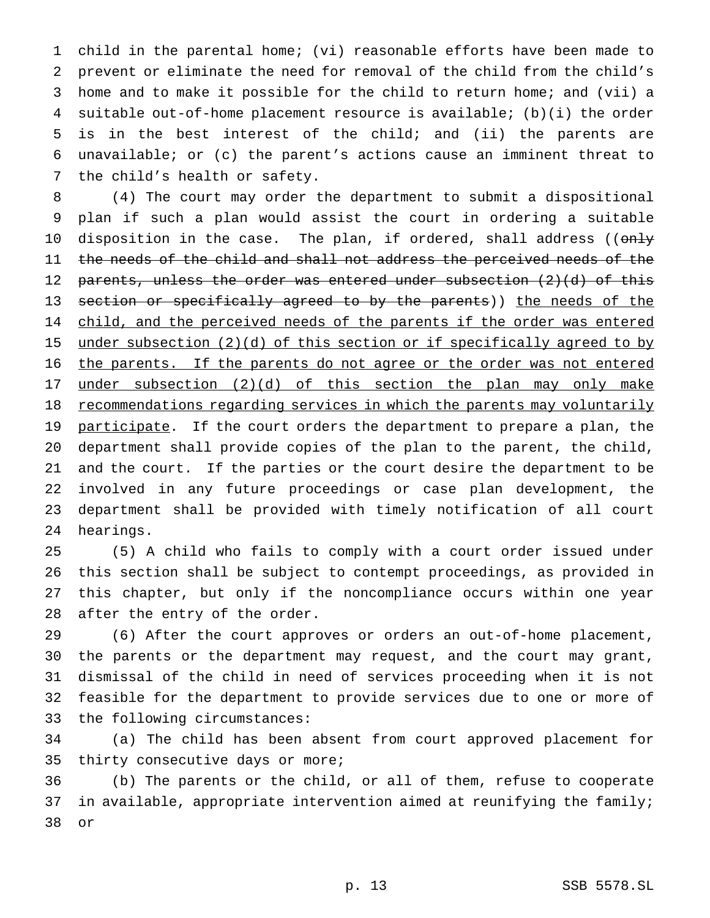child in the parental home; (vi) reasonable efforts have been made to prevent or eliminate the need for removal of the child from the child's home and to make it possible for the child to return home; and (vii) a suitable out-of-home placement resource is available; (b)(i) the order is in the best interest of the child; and (ii) the parents are unavailable; or (c) the parent's actions cause an imminent threat to the child's health or safety.

 (4) The court may order the department to submit a dispositional plan if such a plan would assist the court in ordering a suitable 10 disposition in the case. The plan, if ordered, shall address ((only 11 the needs of the child and shall not address the perceived needs of the 12 parents, unless the order was entered under subsection (2)(d) of this 13 section or specifically agreed to by the parents)) the needs of the 14 child, and the perceived needs of the parents if the order was entered 15 under subsection (2)(d) of this section or if specifically agreed to by 16 the parents. If the parents do not agree or the order was not entered under subsection (2)(d) of this section the plan may only make 18 recommendations regarding services in which the parents may voluntarily 19 participate. If the court orders the department to prepare a plan, the department shall provide copies of the plan to the parent, the child, and the court. If the parties or the court desire the department to be involved in any future proceedings or case plan development, the department shall be provided with timely notification of all court hearings.

 (5) A child who fails to comply with a court order issued under this section shall be subject to contempt proceedings, as provided in this chapter, but only if the noncompliance occurs within one year after the entry of the order.

 (6) After the court approves or orders an out-of-home placement, the parents or the department may request, and the court may grant, dismissal of the child in need of services proceeding when it is not feasible for the department to provide services due to one or more of the following circumstances:

 (a) The child has been absent from court approved placement for 35 thirty consecutive days or more;

 (b) The parents or the child, or all of them, refuse to cooperate 37 in available, appropriate intervention aimed at reunifying the family; or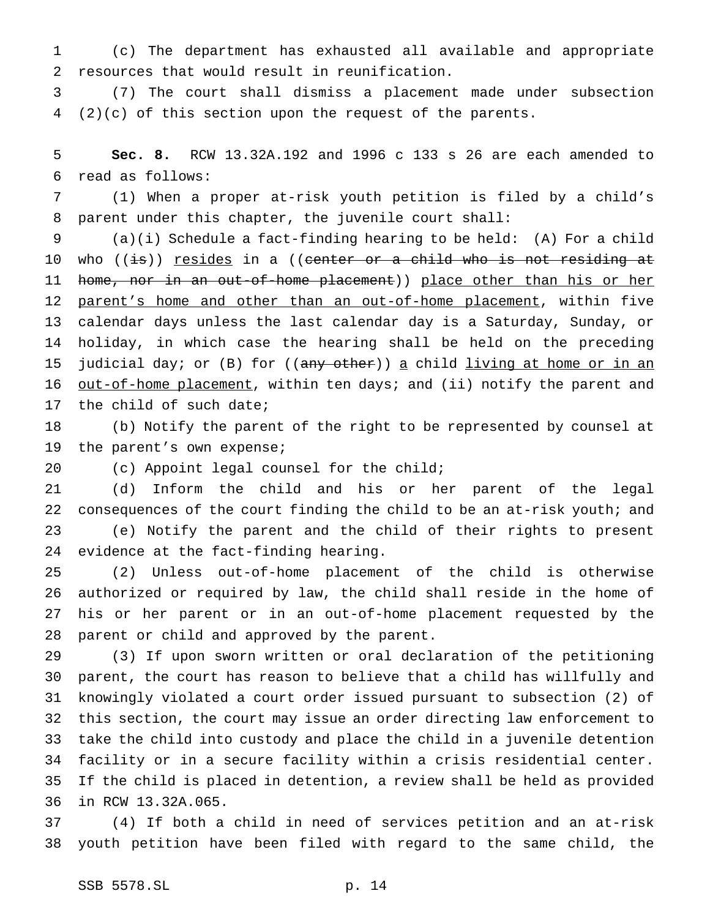(c) The department has exhausted all available and appropriate resources that would result in reunification.

 (7) The court shall dismiss a placement made under subsection (2)(c) of this section upon the request of the parents.

 **Sec. 8.** RCW 13.32A.192 and 1996 c 133 s 26 are each amended to read as follows:

 (1) When a proper at-risk youth petition is filed by a child's parent under this chapter, the juvenile court shall:

 (a)(i) Schedule a fact-finding hearing to be held: (A) For a child 10 who ((<del>is</del>)) <u>resides</u> in a ((<del>center or a child who is not residing at</del> 11 home, nor in an out-of-home placement)) place other than his or her 12 parent's home and other than an out-of-home placement, within five calendar days unless the last calendar day is a Saturday, Sunday, or holiday, in which case the hearing shall be held on the preceding 15 judicial day; or (B) for  $((any - b)$  a child living at home or in an 16 out-of-home placement, within ten days; and (ii) notify the parent and the child of such date;

 (b) Notify the parent of the right to be represented by counsel at the parent's own expense;

(c) Appoint legal counsel for the child;

 (d) Inform the child and his or her parent of the legal consequences of the court finding the child to be an at-risk youth; and (e) Notify the parent and the child of their rights to present evidence at the fact-finding hearing.

 (2) Unless out-of-home placement of the child is otherwise authorized or required by law, the child shall reside in the home of his or her parent or in an out-of-home placement requested by the parent or child and approved by the parent.

 (3) If upon sworn written or oral declaration of the petitioning parent, the court has reason to believe that a child has willfully and knowingly violated a court order issued pursuant to subsection (2) of this section, the court may issue an order directing law enforcement to take the child into custody and place the child in a juvenile detention facility or in a secure facility within a crisis residential center. If the child is placed in detention, a review shall be held as provided in RCW 13.32A.065.

 (4) If both a child in need of services petition and an at-risk youth petition have been filed with regard to the same child, the